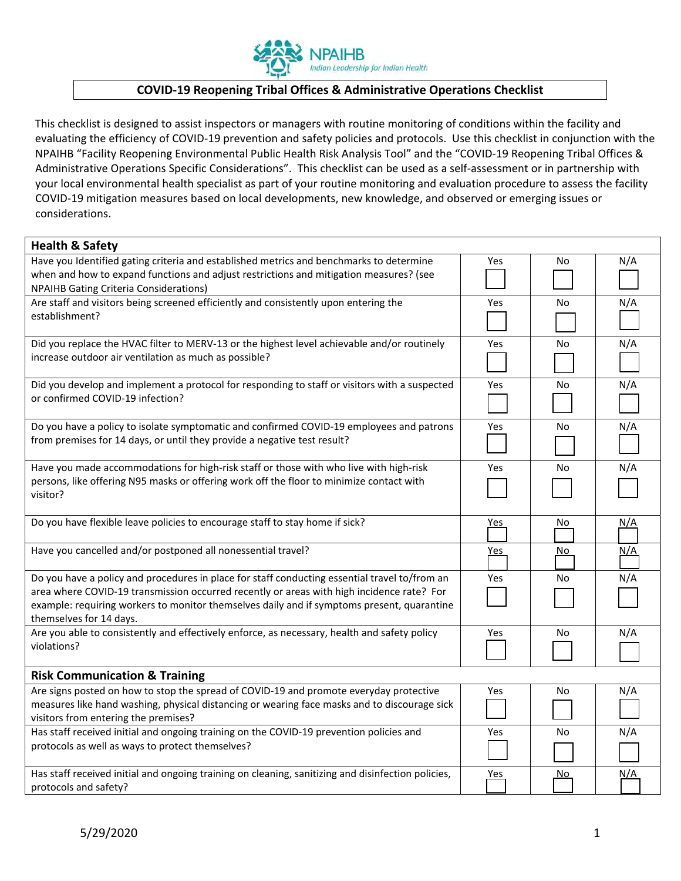

## **COVIDͲ19 Reopening Tribal Offices & Administrative Operations Checklist**

This checklist is designed to assist inspectors or managers with routine monitoring of conditions within the facility and evaluating the efficiency of COVID-19 prevention and safety policies and protocols. Use this checklist in conjunction with the NPAIHB "Facility Reopening Environmental Public Health Risk Analysis Tool" and the "COVID-19 Reopening Tribal Offices & Administrative Operations Specific Considerations". This checklist can be used as a self-assessment or in partnership with your local environmental health specialist as part of your routine monitoring and evaluation procedure to assess the facility COVID-19 mitigation measures based on local developments, new knowledge, and observed or emerging issues or considerations.

| <b>Health &amp; Safety</b>                                                                         |            |           |            |
|----------------------------------------------------------------------------------------------------|------------|-----------|------------|
| Have you Identified gating criteria and established metrics and benchmarks to determine            | Yes        | No        | N/A        |
| when and how to expand functions and adjust restrictions and mitigation measures? (see             |            |           |            |
| <b>NPAIHB Gating Criteria Considerations)</b>                                                      |            |           |            |
| Are staff and visitors being screened efficiently and consistently upon entering the               | Yes        | <b>No</b> | N/A        |
| establishment?                                                                                     |            |           |            |
| Did you replace the HVAC filter to MERV-13 or the highest level achievable and/or routinely        | Yes        | No        | N/A        |
| increase outdoor air ventilation as much as possible?                                              |            |           |            |
| Did you develop and implement a protocol for responding to staff or visitors with a suspected      | Yes        | No        | N/A        |
| or confirmed COVID-19 infection?                                                                   |            |           |            |
| Do you have a policy to isolate symptomatic and confirmed COVID-19 employees and patrons           | Yes        | No        | N/A        |
| from premises for 14 days, or until they provide a negative test result?                           |            |           |            |
| Have you made accommodations for high-risk staff or those with who live with high-risk             | Yes        | No        | N/A        |
| persons, like offering N95 masks or offering work off the floor to minimize contact with           |            |           |            |
| visitor?                                                                                           |            |           |            |
| Do you have flexible leave policies to encourage staff to stay home if sick?                       | <u>Yes</u> | No        | <u>N/A</u> |
| Have you cancelled and/or postponed all nonessential travel?                                       | Yes        | No        | N/A        |
| Do you have a policy and procedures in place for staff conducting essential travel to/from an      | Yes        | No        | N/A        |
| area where COVID-19 transmission occurred recently or areas with high incidence rate? For          |            |           |            |
| example: requiring workers to monitor themselves daily and if symptoms present, quarantine         |            |           |            |
| themselves for 14 days.                                                                            |            |           |            |
| Are you able to consistently and effectively enforce, as necessary, health and safety policy       | Yes        | No        | N/A        |
| violations?                                                                                        |            |           |            |
| <b>Risk Communication &amp; Training</b>                                                           |            |           |            |
| Are signs posted on how to stop the spread of COVID-19 and promote everyday protective             | Yes        | No        | N/A        |
| measures like hand washing, physical distancing or wearing face masks and to discourage sick       |            |           |            |
| visitors from entering the premises?                                                               |            |           |            |
| Has staff received initial and ongoing training on the COVID-19 prevention policies and            | Yes        | No        | N/A        |
| protocols as well as ways to protect themselves?                                                   |            |           |            |
| Has staff received initial and ongoing training on cleaning, sanitizing and disinfection policies, | Yes        | <u>No</u> | N/A        |
| protocols and safety?                                                                              |            |           |            |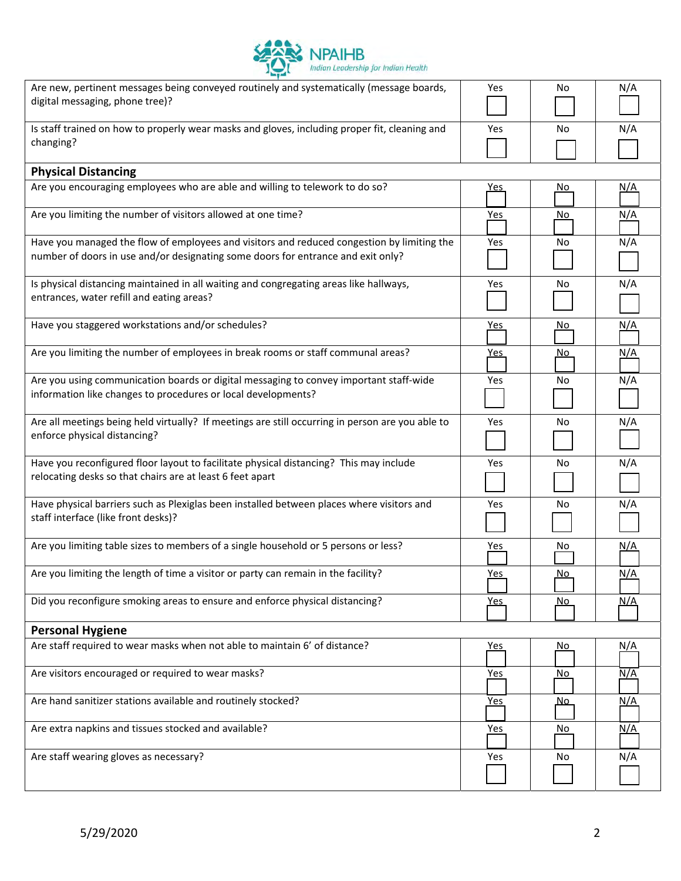

| Are new, pertinent messages being conveyed routinely and systematically (message boards,<br>digital messaging, phone tree)?                                                    | Yes        | No        | N/A        |
|--------------------------------------------------------------------------------------------------------------------------------------------------------------------------------|------------|-----------|------------|
| Is staff trained on how to properly wear masks and gloves, including proper fit, cleaning and<br>changing?                                                                     | Yes        | No.       | N/A        |
| <b>Physical Distancing</b>                                                                                                                                                     |            |           |            |
| Are you encouraging employees who are able and willing to telework to do so?                                                                                                   | <u>Yes</u> | <u>No</u> | <u>N/A</u> |
| Are you limiting the number of visitors allowed at one time?                                                                                                                   | <u>Yes</u> | No        | N/A        |
| Have you managed the flow of employees and visitors and reduced congestion by limiting the<br>number of doors in use and/or designating some doors for entrance and exit only? | Yes        | No.       | N/A        |
| Is physical distancing maintained in all waiting and congregating areas like hallways,<br>entrances, water refill and eating areas?                                            | Yes        | No.       | N/A        |
| Have you staggered workstations and/or schedules?                                                                                                                              | <u>Yes</u> | No.       | <u>N/A</u> |
| Are you limiting the number of employees in break rooms or staff communal areas?                                                                                               | <u>Yes</u> | <u>No</u> | N/A        |
| Are you using communication boards or digital messaging to convey important staff-wide<br>information like changes to procedures or local developments?                        | Yes        | No        | N/A        |
| Are all meetings being held virtually? If meetings are still occurring in person are you able to<br>enforce physical distancing?                                               | Yes        | No.       | N/A        |
| Have you reconfigured floor layout to facilitate physical distancing? This may include<br>relocating desks so that chairs are at least 6 feet apart                            | Yes        | No        | N/A        |
| Have physical barriers such as Plexiglas been installed between places where visitors and<br>staff interface (like front desks)?                                               | <b>Yes</b> | No.       | N/A        |
| Are you limiting table sizes to members of a single household or 5 persons or less?                                                                                            | Yes        | No.       | N/A        |
| Are you limiting the length of time a visitor or party can remain in the facility?                                                                                             | <b>Yes</b> | No        | N/A        |
| Did you reconfigure smoking areas to ensure and enforce physical distancing?                                                                                                   | <u>Yes</u> | <u>No</u> | <u>N/A</u> |
| <b>Personal Hygiene</b>                                                                                                                                                        |            |           |            |
| Are staff required to wear masks when not able to maintain 6' of distance?                                                                                                     | <u>Yes</u> | No.       | N/A        |
| Are visitors encouraged or required to wear masks?                                                                                                                             | <u>Yes</u> | No.       | <u>N/A</u> |
| Are hand sanitizer stations available and routinely stocked?                                                                                                                   | <u>Yes</u> | <u>No</u> | <u>N/A</u> |
| Are extra napkins and tissues stocked and available?                                                                                                                           | <u>Yes</u> | <u>No</u> | <u>N/A</u> |
| Are staff wearing gloves as necessary?                                                                                                                                         | Yes        | No.       | N/A        |